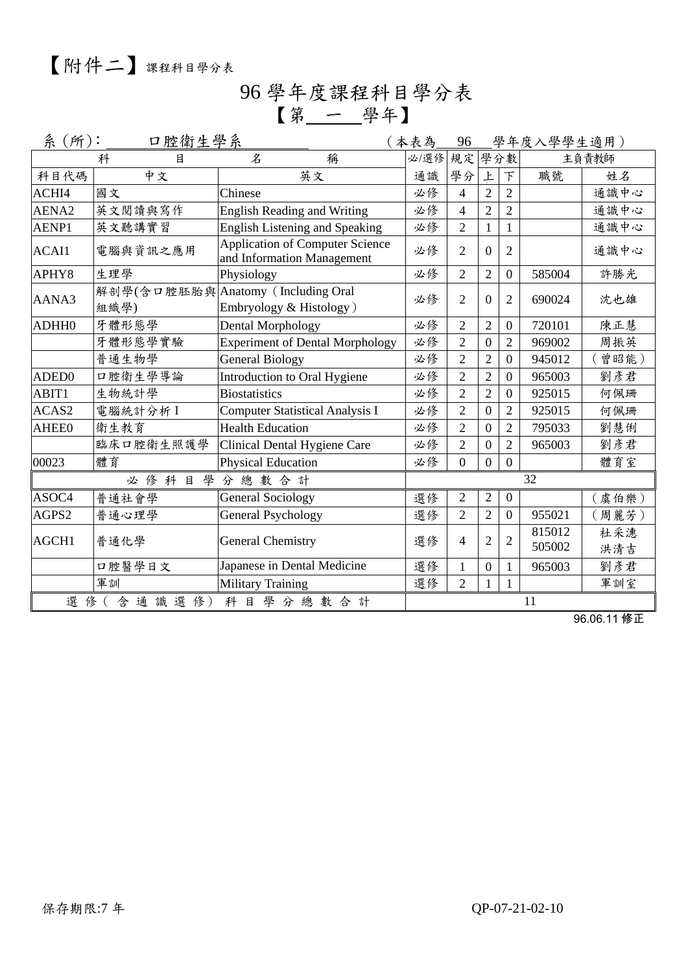## 96 學年度課程科目學分表 【第 一 學年】

| 系(所):<br>口腔衛生學系<br>(本表為 |                       |                                                                      |  |      | 96                       |                  |                | 學年度入學學生適用)       |            |
|-------------------------|-----------------------|----------------------------------------------------------------------|--|------|--------------------------|------------------|----------------|------------------|------------|
|                         | 科<br>目                | 稱<br>$\mathcal{Z}$                                                   |  | 必/選修 | 規定學分數                    |                  |                |                  | 主負責教師      |
| 科目代碼                    | 中文                    | 英文                                                                   |  | 通識   | 學分                       | 上                | 下              | 職號               | 姓名         |
| ACHI4                   | 國文                    | Chinese                                                              |  | 必修   | $\overline{\mathcal{L}}$ | $\overline{2}$   | $\overline{2}$ |                  | 通識中心       |
| AENA <sub>2</sub>       | 英文閱讀與寫作               | <b>English Reading and Writing</b>                                   |  | 必修   | $\overline{4}$           | $\overline{2}$   | $\overline{2}$ |                  | 通識中心       |
| AENP1                   | 英文聽講實習                | <b>English Listening and Speaking</b>                                |  | 必修   | $\overline{2}$           | 1                | $\mathbf{1}$   |                  | 通識中心       |
| ACAI1                   | 電腦與資訊之應用              | <b>Application of Computer Science</b><br>and Information Management |  | 必修   | 2                        | $\Omega$         | $\overline{2}$ |                  | 通識中心       |
| APHY8                   | 生理學                   | Physiology                                                           |  | 必修   | $\overline{2}$           | $\overline{2}$   | $\overline{0}$ | 585004           | 許勝光        |
| AANA3                   | 組織學)                  | 解剖學(含口腔胚胎與 Anatomy (Including Oral<br>Embryology & Histology)        |  | 必修   | $\overline{2}$           | $\theta$         | $\overline{2}$ | 690024           | 沈也雄        |
| ADHH0                   | 牙體形態學                 | Dental Morphology                                                    |  | 必修   | $\overline{2}$           | $\overline{2}$   | $\overline{0}$ | 720101           | 陳正慧        |
|                         | 牙體形態學實驗               | <b>Experiment of Dental Morphology</b>                               |  | 必修   | $\overline{2}$           | $\overline{0}$   | $\overline{2}$ | 969002           | 周振英        |
|                         | 普通生物學                 | <b>General Biology</b>                                               |  | 必修   | $\overline{2}$           | $\overline{2}$   | $\overline{0}$ | 945012           | (曾昭能)      |
| ADED <sub>0</sub>       | 口腔衛生學導論               | Introduction to Oral Hygiene                                         |  | 必修   | 2                        | $\overline{2}$   | $\overline{0}$ | 965003           | 劉彥君        |
| ABIT1                   | 生物統計學                 | <b>Biostatistics</b>                                                 |  | 必修   | $\overline{2}$           | $\overline{2}$   | $\overline{0}$ | 925015           | 何佩珊        |
| ACAS2                   | 電腦統計分析I               | <b>Computer Statistical Analysis I</b>                               |  | 必修   | $\overline{2}$           | $\overline{0}$   | $\overline{2}$ | 925015           | 何佩珊        |
| <b>AHEE0</b>            | 衛生教育                  | <b>Health Education</b>                                              |  | 必修   | $\overline{2}$           | $\boldsymbol{0}$ | $\overline{2}$ | 795033           | 劉慧俐        |
|                         | 臨床口腔衛生照護學             | Clinical Dental Hygiene Care                                         |  | 必修   | $\overline{2}$           | $\overline{0}$   | $\overline{2}$ | 965003           | 劉彥君        |
| 00023                   | 體育                    | <b>Physical Education</b>                                            |  | 必修   | $\theta$                 | $\overline{0}$   | $\Omega$       |                  | 體育室        |
|                         | 學<br>必修科目             | 分總數合計                                                                |  |      |                          |                  |                | 32               |            |
| ASOC4                   | 普通社會學                 | <b>General Sociology</b>                                             |  | 選修   | $\overline{2}$           | $\overline{2}$   | $\overline{0}$ |                  | (虞伯樂)      |
| AGPS2                   | 普通心理學                 | <b>General Psychology</b>                                            |  | 選修   | $\overline{2}$           | $\overline{2}$   | $\overline{0}$ | 955021           | (周麗芳)      |
| AGCH1                   | 普通化學                  | <b>General Chemistry</b>                                             |  | 選修   | 4                        | $\overline{2}$   | $\overline{2}$ | 815012<br>505002 | 杜采潓<br>洪清吉 |
|                         | 口腔醫學日文                | Japanese in Dental Medicine                                          |  | 選修   | 1                        | $\theta$         | $\mathbf{1}$   | 965003           | 劉彥君        |
|                         | 軍訓                    | <b>Military Training</b>                                             |  | 選修   | $\overline{2}$           |                  |                |                  | 軍訓室        |
|                         | 選修(含通識選修)<br>科目學分總數合計 |                                                                      |  |      |                          |                  |                | 11               |            |

96.06.11 修正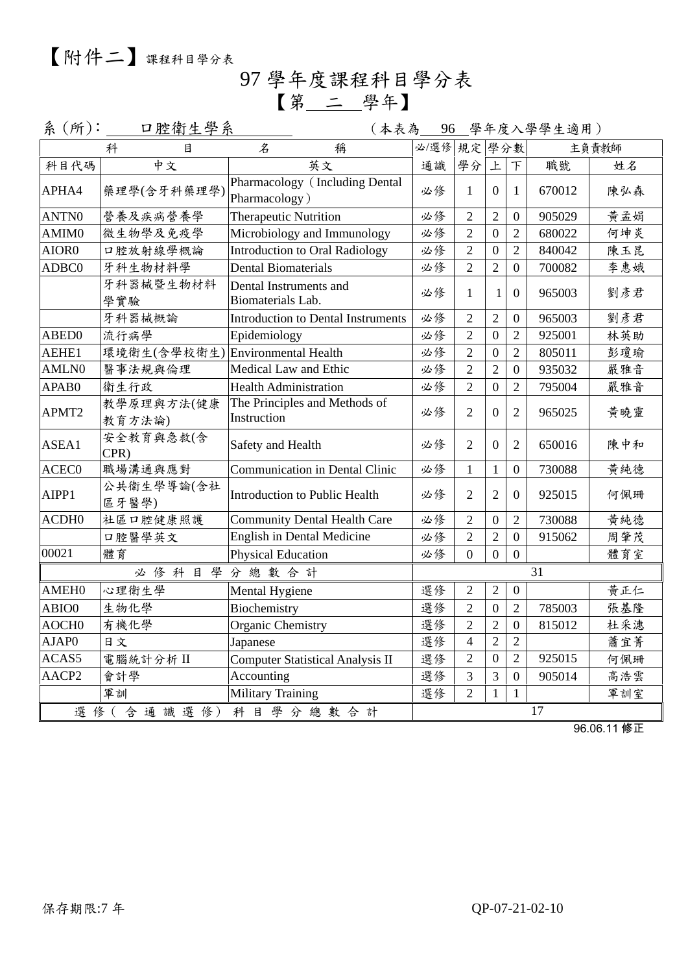97 學年度課程科目學分表 【第 二 學年】

| 系(所):             |                                  |                                                 |    |                | (本表為 96 學年度入學學生適用) |                  |        |       |
|-------------------|----------------------------------|-------------------------------------------------|----|----------------|--------------------|------------------|--------|-------|
|                   | 科<br>目                           | 名<br>稱                                          |    | 必/選修 規定 學分數    |                    |                  |        | 主負責教師 |
| 科目代碼              | 中文                               | 英文                                              | 通識 | 學分             | 上                  | $\top$           | 職號     | 姓名    |
| APHA4             | 藥理學(含牙科藥理學)                      | Pharmacology (Including Dental<br>Pharmacology) | 必修 | $\mathbf{1}$   | $\overline{0}$     | $\mathbf{1}$     | 670012 | 陳弘森   |
| ANTN0             | 營養及疾病營養學                         | <b>Therapeutic Nutrition</b>                    | 必修 | $\overline{2}$ | $\overline{2}$     | $\boldsymbol{0}$ | 905029 | 黄孟娟   |
| AMIM0             | 微生物學及免疫學                         | Microbiology and Immunology                     | 必修 | $\overline{2}$ | $\overline{0}$     | $\overline{2}$   | 680022 | 何坤炎   |
| AIOR0             | 口腔放射線學概論                         | <b>Introduction to Oral Radiology</b>           | 必修 | $\overline{2}$ | $\mathbf{0}$       | $\overline{2}$   | 840042 | 陳玉昆   |
| ADBC0             | 牙科生物材料學                          | <b>Dental Biomaterials</b>                      | 必修 | $\overline{2}$ | $\overline{2}$     | $\overline{0}$   | 700082 | 李惠娥   |
|                   | 牙科器械暨生物材料<br>學實驗                 | Dental Instruments and<br>Biomaterials Lab.     | 必修 | $\mathbf{1}$   | 1                  | $\mathbf{0}$     | 965003 | 劉彥君   |
|                   | 牙科器械概論                           | Introduction to Dental Instruments              | 必修 | $\overline{2}$ | $\overline{2}$     | $\overline{0}$   | 965003 | 劉彥君   |
| ABED0             | 流行病學                             | Epidemiology                                    | 必修 | $\overline{2}$ | $\overline{0}$     | $\overline{2}$   | 925001 | 林英助   |
| AEHE1             | 環境衛生(含學校衛生) Environmental Health |                                                 | 必修 | $\overline{2}$ | $\mathbf{0}$       | $\overline{2}$   | 805011 | 彭瓊瑜   |
| AMLN0             | 醫事法規與倫理                          | Medical Law and Ethic                           | 必修 | $\overline{2}$ | $\overline{2}$     | $\boldsymbol{0}$ | 935032 | 嚴雅音   |
| APAB0             | 衛生行政                             | <b>Health Administration</b>                    | 必修 | $\overline{2}$ | $\boldsymbol{0}$   | $\overline{2}$   | 795004 | 嚴雅音   |
| APMT2             | 教學原理與方法(健康<br>教育方法論)             | The Principles and Methods of<br>Instruction    | 必修 | $\overline{2}$ | $\theta$           | $\overline{2}$   | 965025 | 黃曉靈   |
| ASEA1             | 安全教育與急救(含<br>CPR)                | Safety and Health                               | 必修 | $\overline{2}$ | $\theta$           | $\overline{2}$   | 650016 | 陳中和   |
| ACEC0             | 職場溝通與應對                          | Communication in Dental Clinic                  | 必修 | $\mathbf{1}$   | $\mathbf{1}$       | $\boldsymbol{0}$ | 730088 | 黄純德   |
| AIPP1             | 公共衛生學導論(含社<br>區牙醫學)              | Introduction to Public Health                   | 必修 | $\overline{2}$ | $\overline{2}$     | $\overline{0}$   | 925015 | 何佩珊   |
| ACDH <sub>0</sub> | 社區口腔健康照護                         | <b>Community Dental Health Care</b>             | 必修 | $\overline{2}$ | $\overline{0}$     | $\overline{2}$   | 730088 | 黄純德   |
|                   | 口腔醫學英文                           | English in Dental Medicine                      | 必修 | $\overline{2}$ | $\overline{2}$     | $\overline{0}$   | 915062 | 周肇茂   |
| 00021             | 體育                               | <b>Physical Education</b>                       | 必修 | $\Omega$       | $\overline{0}$     | $\overline{0}$   |        | 體育室   |
|                   | 學<br>必修科目                        | 分總數合計                                           |    |                |                    |                  | 31     |       |
| AMEH <sub>0</sub> | 心理衛生學                            | Mental Hygiene                                  | 選修 | $\overline{2}$ | $\overline{2}$     | $\overline{0}$   |        | 黄正仁   |
| ABIO0             | 生物化學                             | Biochemistry                                    | 選修 | $\sqrt{2}$     | $\boldsymbol{0}$   | $\overline{2}$   | 785003 | 張基隆   |
| AOCH <sub>0</sub> | 有機化學                             | <b>Organic Chemistry</b>                        | 選修 | $\sqrt{2}$     | $\overline{2}$     | $\boldsymbol{0}$ | 815012 | 杜采潓   |
| AJAP0             | 日文                               | Japanese                                        | 選修 | $\overline{4}$ | $\overline{2}$     | $\overline{2}$   |        | 蕭宜菁   |
| ACAS5             | 電腦統計分析 II                        | <b>Computer Statistical Analysis II</b>         | 選修 | $\overline{2}$ | $\mathbf{0}$       | $\overline{2}$   | 925015 | 何佩珊   |
| AACP2             | 會計學                              | Accounting                                      | 選修 | 3              | $\mathfrak{Z}$     | $\overline{0}$   | 905014 | 高浩雲   |
|                   | 軍訓                               | <b>Military Training</b>                        | 選修 | $\overline{2}$ | $\mathbf{1}$       | $\mathbf{1}$     |        | 軍訓室   |
| 選修(含通識選修)         |                                  |                                                 |    |                | 17                 |                  |        |       |

96.06.11 修正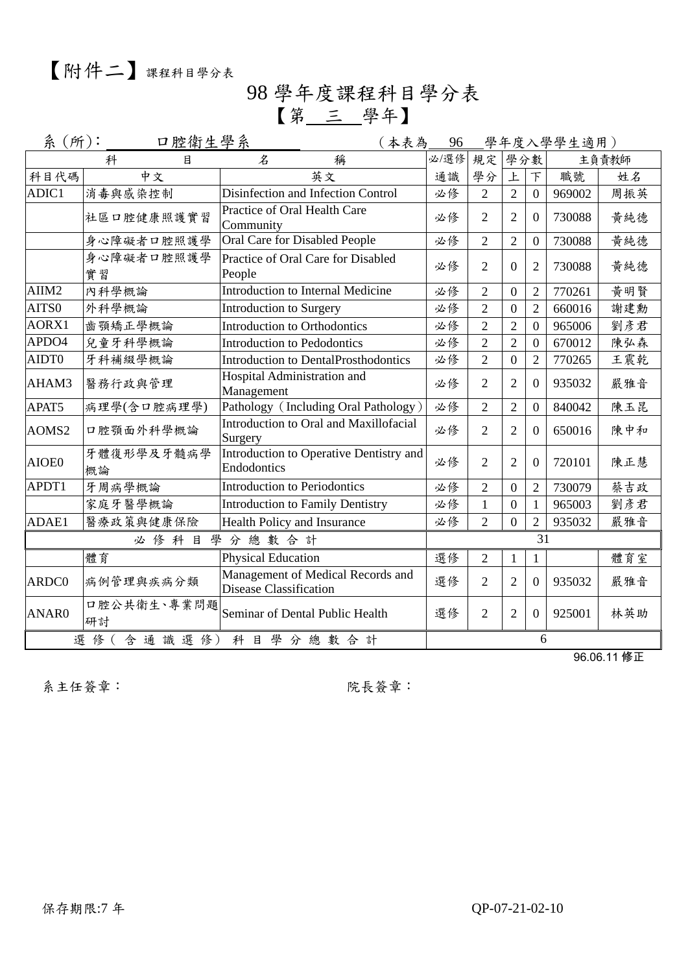### 98 學年度課程科目學分表 【第 三 學年】

| 系(所): | 口腔衛生學系            | (本表為 <u> 96 -</u>                                           |      |                |                  |                | 學年度入學學生適用) |       |
|-------|-------------------|-------------------------------------------------------------|------|----------------|------------------|----------------|------------|-------|
|       | 科<br>目            | 稱<br>名                                                      | 必/選修 | 規定 學分數         |                  |                |            | 主負責教師 |
| 科目代碼  | 中文                | 英文                                                          | 通識   | 學分             | 上                | F              | 職號         | 姓名    |
| ADIC1 | 消毒與感染控制           | Disinfection and Infection Control                          | 必修   | $\overline{2}$ | $\overline{2}$   | $\overline{0}$ | 969002     | 周振英   |
|       | 社區口腔健康照護實習        | Practice of Oral Health Care<br>Community                   | 必修   | $\overline{2}$ | $\overline{2}$   | $\Omega$       | 730088     | 黄純德   |
|       | 身心障礙者口腔照護學        | Oral Care for Disabled People                               | 必修   | $\overline{2}$ | $\overline{2}$   | $\overline{0}$ | 730088     | 黄純德   |
|       | 身心障礙者口腔照護學<br>實習  | Practice of Oral Care for Disabled<br>People                | 必修   | $\overline{2}$ | $\overline{0}$   | 2              | 730088     | 黄純德   |
| AIIM2 | 內科學概論             | <b>Introduction to Internal Medicine</b>                    | 必修   | $\overline{2}$ | $\boldsymbol{0}$ | $\overline{2}$ | 770261     | 黃明賢   |
| AITS0 | 外科學概論             | Introduction to Surgery                                     | 必修   | $\overline{2}$ | $\boldsymbol{0}$ | $\overline{2}$ | 660016     | 謝建勳   |
| AORX1 | 齒顎矯正學概論           | <b>Introduction to Orthodontics</b>                         | 必修   | $\overline{2}$ | $\overline{2}$   | $\overline{0}$ | 965006     | 劉彥君   |
| APDO4 | 兒童牙科學概論           | <b>Introduction to Pedodontics</b>                          | 必修   | $\overline{2}$ | $\overline{2}$   | $\overline{0}$ | 670012     | 陳弘森   |
| AIDT0 | 牙科補綴學概論           | <b>Introduction to DentalProsthodontics</b>                 | 必修   | $\overline{2}$ | $\overline{0}$   | $\overline{2}$ | 770265     | 王震乾   |
| AHAM3 | 醫務行政與管理           | Hospital Administration and<br>Management                   | 必修   | $\overline{2}$ | $\overline{2}$   | $\overline{0}$ | 935032     | 嚴雅音   |
| APAT5 | 病理學(含口腔病理學)       | Pathology (Including Oral Pathology)                        | 必修   | $\overline{2}$ | $\overline{2}$   | $\overline{0}$ | 840042     | 陳玉昆   |
| AOMS2 | 口腔顎面外科學概論         | Introduction to Oral and Maxillofacial<br>Surgery           | 必修   | $\overline{2}$ | $\overline{2}$   | $\overline{0}$ | 650016     | 陳中和   |
| AIOE0 | 牙體復形學及牙髓病學<br>概論  | Introduction to Operative Dentistry and<br>Endodontics      | 必修   | $\overline{2}$ | $\overline{2}$   | $\overline{0}$ | 720101     | 陳正慧   |
| APDT1 | 牙周病學概論            | <b>Introduction to Periodontics</b>                         | 必修   | $\overline{2}$ | $\overline{0}$   | $\overline{2}$ | 730079     | 蔡吉政   |
|       | 家庭牙醫學概論           | <b>Introduction to Family Dentistry</b>                     | 必修   | 1              | $\overline{0}$   | $\mathbf{1}$   | 965003     | 劉彥君   |
| ADAE1 | 醫療政策與健康保險         | <b>Health Policy and Insurance</b>                          | 必修   | $\overline{2}$ | $\overline{0}$   | $\overline{2}$ | 935032     | 嚴雅音   |
|       | 必修科目              | 學分總數合計                                                      |      |                |                  | 31             |            |       |
|       | 體育                | <b>Physical Education</b>                                   | 選修   | $\overline{2}$ | 1                | 1              |            | 體育室   |
| ARDC0 | 病例管理與疾病分類         | Management of Medical Records and<br>Disease Classification | 選修   | $\overline{2}$ | $\overline{2}$   | $\overline{0}$ | 935032     | 嚴雅音   |
| ANAR0 | 口腔公共衛生、專業問題<br>研討 | Seminar of Dental Public Health                             | 選修   | $\overline{2}$ | $\overline{2}$   | $\overline{0}$ | 925001     | 林英助   |
|       | 含通識選修)<br>選 修 (   | 科目學分總數合計                                                    |      |                |                  | 6              |            |       |

96.06.11 修正

系主任簽章: 院長簽章: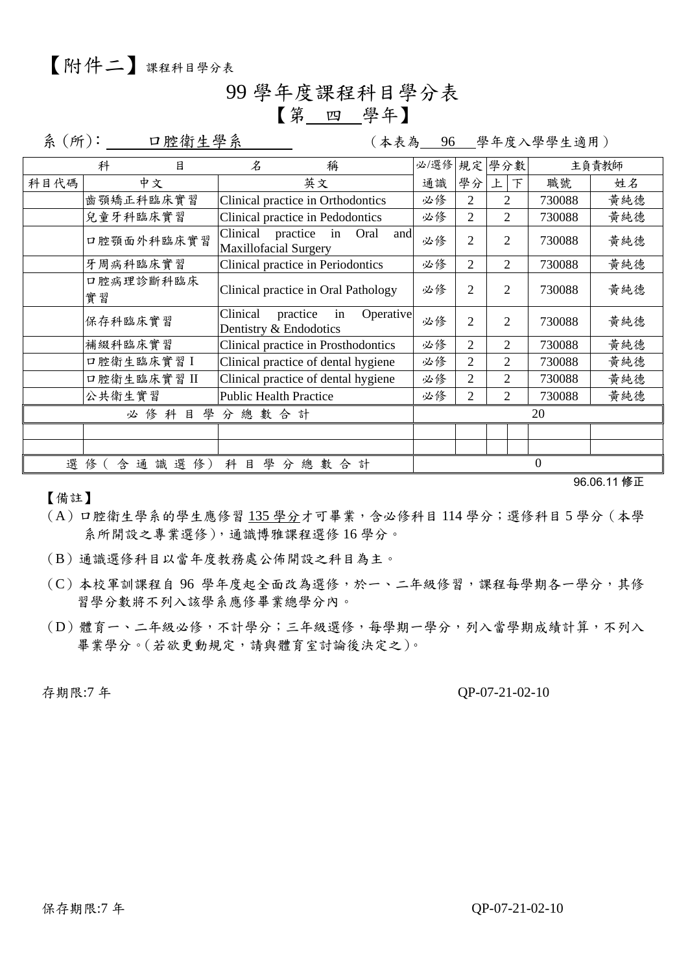### 99 學年度課程科目學分表 【第 四 學年】

系(所): 口腔衛生學系 (本表為 96 學年度入學學生適用)

|                                                                         | 目<br>科          |                                   | $\mathcal{Z}$                     |                                     | 稱           |                | 必/選修 規定 學分數 |                |                |        | 主負責教師 |
|-------------------------------------------------------------------------|-----------------|-----------------------------------|-----------------------------------|-------------------------------------|-------------|----------------|-------------|----------------|----------------|--------|-------|
| 科目代碼                                                                    | 中文              |                                   | 英文                                |                                     | 通識          | 學分             | 上<br>下      | 職號             | 姓名             |        |       |
|                                                                         | 齒顎矯正科臨床實習       | Clinical practice in Orthodontics |                                   | 必修                                  | 2           | $\overline{2}$ | 730088      | 黄純德            |                |        |       |
|                                                                         | 兒童牙科臨床實習        |                                   |                                   | Clinical practice in Pedodontics    |             |                | 必修          | $\overline{2}$ | $\overline{2}$ | 730088 | 黄純德   |
|                                                                         | 口腔顎面外科臨床實習      | Clinical                          | practice<br>Maxillofacial Surgery | in                                  | Oral<br>and | 必修             | 2           | 2              | 730088         | 黄純德    |       |
|                                                                         | 牙周病科臨床實習        |                                   |                                   | Clinical practice in Periodontics   |             |                | 必修          | $\overline{2}$ | $\overline{2}$ | 730088 | 黄純德   |
|                                                                         | 口腔病理診斷科臨床<br>實習 |                                   |                                   | Clinical practice in Oral Pathology |             |                | 必修          | $\overline{2}$ | $\overline{2}$ | 730088 | 黄純德   |
|                                                                         | 保存科臨床實習         |                                   | Clinical                          | practice<br>Dentistry & Endodotics  | in          | Operative      | 必修          | 2              | $\mathfrak{D}$ | 730088 | 黃純德   |
|                                                                         | 補綴科臨床實習         |                                   |                                   | Clinical practice in Prosthodontics |             |                | 必修          | 2              | $\overline{2}$ | 730088 | 黄純德   |
|                                                                         | 口腔衛生臨床實習I       |                                   |                                   | Clinical practice of dental hygiene |             |                | 必修          | 2              | $\mathfrak{D}$ | 730088 | 黄純德   |
|                                                                         | 口腔衛生臨床實習 II     |                                   |                                   | Clinical practice of dental hygiene |             |                | 必修          | $\overline{2}$ | 2              | 730088 | 黃純德   |
|                                                                         | 公共衛生實習          |                                   |                                   | <b>Public Health Practice</b>       |             |                | 必修          | 2              | 2              | 730088 | 黄純德   |
| 學分總數合計<br>必修科目                                                          |                 |                                   |                                   |                                     |             | 20             |             |                |                |        |       |
|                                                                         |                 |                                   |                                   |                                     |             |                |             |                |                |        |       |
|                                                                         |                 |                                   |                                   |                                     |             |                |             |                |                |        |       |
| 選<br>選<br>科<br>學<br>通<br>俢<br>目<br>總<br>數<br>計<br>識<br>分<br>合<br>俢<br>含 |                 |                                   |                                   |                                     |             |                |             | $\theta$       |                |        |       |

【備註】

96.06.11 修正

- (A)口腔衛生學系的學生應修習 135 學分才可畢業,含必修科目 114 學分;選修科目 5 學分(本學 系所開設之專業選修),通識博雅課程選修 16 學分。
- (B)通識選修科目以當年度教務處公佈開設之科目為主。
- (C)本校軍訓課程自 96 學年度起全面改為選修,於一、二年級修習,課程每學期各一學分,其修 習學分數將不列入該學系應修畢業總學分內。
- (D)體育一、二年級必修,不計學分;三年級選修,每學期一學分,列入當學期成績計算,不列入 畢業學分。(若欲更動規定,請與體育室討論後決定之)。

#### 存期限:7年<br> **OP-07-21-02-10**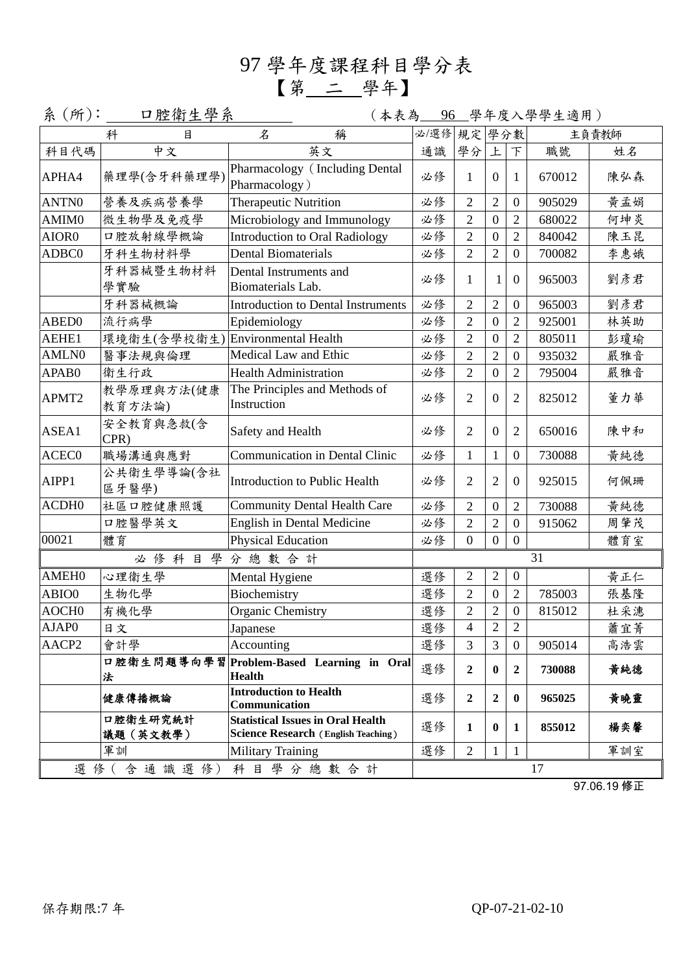97 學年度課程科目學分表 【第 二 學年】

|                   | 系 (所):_____ 口腔衛生學系           |                                                                                        |             |                  |                  | (本表為 96 學年度入學學生適用) |        |       |
|-------------------|------------------------------|----------------------------------------------------------------------------------------|-------------|------------------|------------------|--------------------|--------|-------|
|                   | $\mathcal{Z}$<br>稱<br>科<br>目 |                                                                                        | 必/選修 規定 學分數 |                  |                  |                    |        | 主負責教師 |
| 科目代碼              | 中文                           | 英文                                                                                     | 通識          | 學分               | 上                | F                  | 職號     | 姓名    |
| APHA4             | 藥理學(含牙科藥理學)                  | Pharmacology (Including Dental<br>Pharmacology)                                        | 必修          | 1                | $\overline{0}$   | $\mathbf{1}$       | 670012 | 陳弘森   |
| ANTN0             | 營養及疾病營養學                     | <b>Therapeutic Nutrition</b>                                                           | 必修          | $\overline{2}$   | $\overline{2}$   | $\boldsymbol{0}$   | 905029 | 黄孟娟   |
| AMIM <sub>0</sub> | 微生物學及免疫學                     | Microbiology and Immunology                                                            | 必修          | $\overline{2}$   | $\overline{0}$   | $\overline{2}$     | 680022 | 何坤炎   |
| AIOR0             | 口腔放射線學概論                     | <b>Introduction to Oral Radiology</b>                                                  | 必修          | $\overline{2}$   | $\boldsymbol{0}$ | $\overline{2}$     | 840042 | 陳玉昆   |
| ADBC0             | 牙科生物材料學                      | <b>Dental Biomaterials</b>                                                             | 必修          | $\overline{2}$   | $\overline{2}$   | $\boldsymbol{0}$   | 700082 | 李惠娥   |
|                   | 牙科器械暨生物材料<br>學實驗             | Dental Instruments and<br>Biomaterials Lab.                                            | 必修          | 1                | 1                | $\overline{0}$     | 965003 | 劉彥君   |
|                   | 牙科器械概論                       | <b>Introduction to Dental Instruments</b>                                              | 必修          | $\overline{2}$   | $\overline{2}$   | $\boldsymbol{0}$   | 965003 | 劉彥君   |
| ABED0             | 流行病學                         | Epidemiology                                                                           | 必修          | $\overline{2}$   | $\boldsymbol{0}$ | $\overline{2}$     | 925001 | 林英助   |
| AEHE1             | 環境衛生(含學校衛生)                  | Environmental Health                                                                   | 必修          | $\overline{2}$   | $\boldsymbol{0}$ | $\overline{2}$     | 805011 | 彭瓊瑜   |
| AMLN0             | 醫事法規與倫理                      | Medical Law and Ethic                                                                  | 必修          | $\overline{2}$   | $\overline{2}$   | $\boldsymbol{0}$   | 935032 | 嚴雅音   |
| APAB0             | 衛生行政                         | <b>Health Administration</b>                                                           | 必修          | $\overline{2}$   | $\boldsymbol{0}$ | $\overline{2}$     | 795004 | 嚴雅音   |
| APMT2             | 教學原理與方法(健康<br>教育方法論)         | The Principles and Methods of<br>Instruction                                           | 必修          | $\overline{2}$   | $\overline{0}$   | $\mathfrak{2}$     | 825012 | 董力華   |
| ASEA1             | 安全教育與急救(含<br>CPR)            | Safety and Health                                                                      | 必修          | $\overline{2}$   | $\mathbf{0}$     | $\mathfrak{2}$     | 650016 | 陳中和   |
| ACEC0             | 職場溝通與應對                      | Communication in Dental Clinic                                                         | 必修          | $\mathbf{1}$     | $\mathbf{1}$     | $\overline{0}$     | 730088 | 黄純德   |
| AIPP1             | 公共衛生學導論(含社<br>區牙醫學)          | Introduction to Public Health                                                          | 必修          | $\overline{2}$   | $\overline{2}$   | $\mathbf{0}$       | 925015 | 何佩珊   |
| ACDH <sub>0</sub> | 社區口腔健康照護                     | <b>Community Dental Health Care</b>                                                    | 必修          | $\overline{2}$   | $\boldsymbol{0}$ | $\overline{2}$     | 730088 | 黄純德   |
|                   | 口腔醫學英文                       | English in Dental Medicine                                                             | 必修          | $\overline{2}$   | $\overline{2}$   | $\boldsymbol{0}$   | 915062 | 周肇茂   |
| 00021             | 體育                           | <b>Physical Education</b>                                                              | 必修          | $\overline{0}$   | $\overline{0}$   | $\overline{0}$     |        | 體育室   |
|                   | 必修科目學                        | 分總數合計                                                                                  |             |                  |                  |                    | 31     |       |
| AMEH <sub>0</sub> | 心理衛生學                        | Mental Hygiene                                                                         | 選修          | $\overline{2}$   | $\sqrt{2}$       | $\boldsymbol{0}$   |        | 黄正仁   |
| ABIO0             | 生物化學                         | Biochemistry                                                                           | 選修          | $\overline{2}$   | $\boldsymbol{0}$ | $\overline{2}$     | 785003 | 張基隆   |
| AOCH <sub>0</sub> | 有機化學                         | Organic Chemistry                                                                      | 選修          | $\overline{2}$   | $\overline{2}$   | $\boldsymbol{0}$   | 815012 | 杜采潓   |
| AJAP0             | 日文                           | Japanese                                                                               | 選修          | 4                | 2                | 2                  |        | 蕭宜菁   |
| AACP2             | 會計學                          | Accounting                                                                             | 選修          | 3                | 3                | $\overline{0}$     | 905014 | 高浩雲   |
|                   | 法                            | 口腔衛生問題導向學習 Problem-Based Learning in Oral<br><b>Health</b>                             | 選修          | $\boldsymbol{2}$ | $\bf{0}$         | $\overline{2}$     | 730088 | 黄純德   |
|                   | 健康傳播概論                       | <b>Introduction to Health</b><br>Communication                                         | 選修          | $\boldsymbol{2}$ | $\overline{2}$   | $\bf{0}$           | 965025 | 黄曉靈   |
|                   | 口腔衛生研究統計<br>議題(英文教學)         | <b>Statistical Issues in Oral Health</b><br><b>Science Research (English Teaching)</b> | 選修          | 1                | $\bf{0}$         | 1                  | 855012 | 楊奕馨   |
|                   | 軍訓                           | <b>Military Training</b>                                                               | 選修          | 2                | 1                | 1                  |        | 軍訓室   |
| 選修(含通識選修)科目學分總數合計 |                              |                                                                                        |             |                  | 17               |                    |        |       |

97.06.19 修正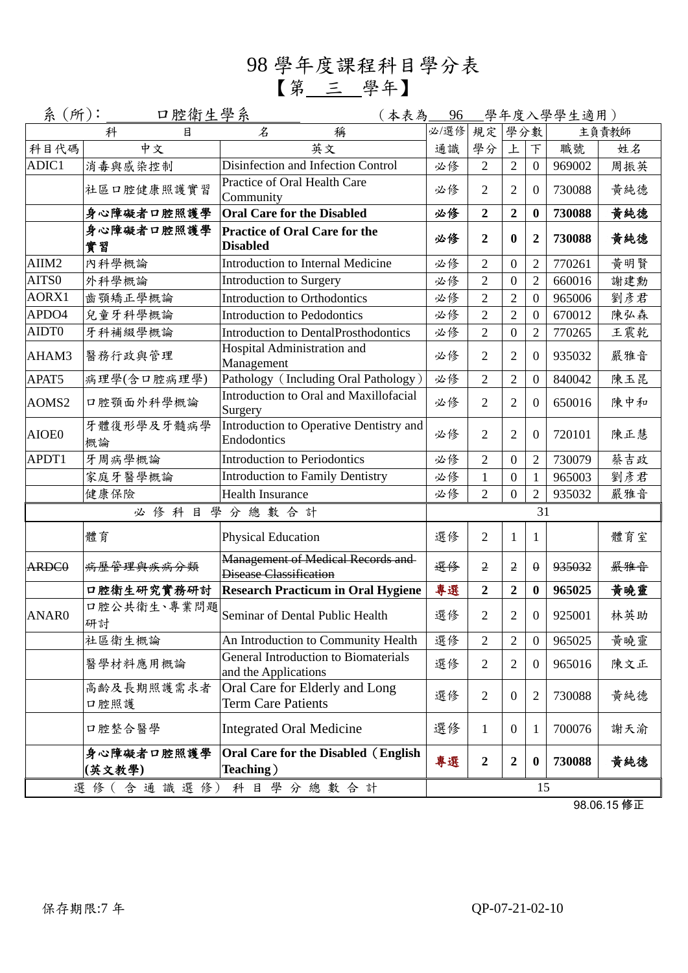98 學年度課程科目學分表 【第 三 學年】

| 系(所): | <u>口腔衛生學系</u>        | (本表為                                                                | 96   |                  |                  |                  | 學年度入學學生適用) |       |
|-------|----------------------|---------------------------------------------------------------------|------|------------------|------------------|------------------|------------|-------|
|       | 科<br>目               | 稱<br>$\mathcal{\mathcal{Z}}$                                        | 必/選修 | 規定               | 學分數              |                  |            | 主負責教師 |
| 科目代碼  | 中文                   | 英文                                                                  | 通識   | 學分               | 上                | $\top$           | 職號         | 姓名    |
| ADIC1 | 消毒與感染控制              | Disinfection and Infection Control                                  | 必修   | $\overline{2}$   | $\overline{2}$   | $\overline{0}$   | 969002     | 周振英   |
|       | 社區口腔健康照護實習           | Practice of Oral Health Care<br>Community                           | 必修   | $\overline{2}$   | $\overline{2}$   | $\mathbf{0}$     | 730088     | 黃純德   |
|       | 身心障礙者口腔照護學           | <b>Oral Care for the Disabled</b>                                   | 必修   | $\overline{2}$   | $\overline{2}$   | $\boldsymbol{0}$ | 730088     | 黄純德   |
|       | 身心障礙者口腔照護學<br>實習     | <b>Practice of Oral Care for the</b><br><b>Disabled</b>             | 必修   | $\overline{2}$   | $\mathbf{0}$     | $\boldsymbol{2}$ | 730088     | 黄純德   |
| AIIM2 | 內科學概論                | Introduction to Internal Medicine                                   | 必修   | 2                | $\boldsymbol{0}$ | $\overline{2}$   | 770261     | 黃明賢   |
| AITS0 | 外科學概論                | Introduction to Surgery                                             | 必修   | $\overline{2}$   | $\overline{0}$   | $\overline{2}$   | 660016     | 謝建勳   |
| AORX1 | 齒顎矯正學概論              | Introduction to Orthodontics                                        | 必修   | $\overline{2}$   | $\overline{2}$   | $\boldsymbol{0}$ | 965006     | 劉彥君   |
| APDO4 | 兒童牙科學概論              | Introduction to Pedodontics                                         | 必修   | $\overline{2}$   | $\overline{2}$   | $\boldsymbol{0}$ | 670012     | 陳弘森   |
| AIDT0 | 牙科補綴學概論              | Introduction to DentalProsthodontics                                | 必修   | $\overline{2}$   | $\theta$         | $\overline{2}$   | 770265     | 王震乾   |
| AHAM3 | 醫務行政與管理              | Hospital Administration and<br>Management                           | 必修   | 2                | 2                | $\overline{0}$   | 935032     | 嚴雅音   |
| APAT5 | 病理學(含口腔病理學)          | Pathology (Including Oral Pathology)                                | 必修   | $\overline{2}$   | $\overline{2}$   | $\boldsymbol{0}$ | 840042     | 陳玉昆   |
| AOMS2 | 口腔顎面外科學概論            | Introduction to Oral and Maxillofacial<br>Surgery                   | 必修   | $\overline{2}$   | $\overline{2}$   | $\mathbf{0}$     | 650016     | 陳中和   |
| AIOE0 | 牙體復形學及牙髓病學<br>概論     | Introduction to Operative Dentistry and<br>Endodontics              | 必修   | $\overline{2}$   | $\overline{2}$   | $\overline{0}$   | 720101     | 陳正慧   |
| APDT1 | 牙周病學概論               | <b>Introduction to Periodontics</b>                                 | 必修   | $\overline{2}$   | $\overline{0}$   | $\overline{2}$   | 730079     | 蔡吉政   |
|       | 家庭牙醫學概論              | <b>Introduction to Family Dentistry</b>                             | 必修   | $\mathbf{1}$     | $\boldsymbol{0}$ | $\mathbf{1}$     | 965003     | 劉彥君   |
|       | 健康保險                 | <b>Health Insurance</b>                                             | 必修   | $\overline{2}$   | $\theta$         | $\overline{2}$   | 935032     | 嚴雅音   |
|       | 必修科目                 | 學分總數合計                                                              |      |                  |                  | 31               |            |       |
|       | 體育                   | Physical Education                                                  | 選修   | $\overline{2}$   | 1                | 1                |            | 體育室   |
| ARDC0 | 病歷管理與疾病分類            | Management of Medical Records and<br><b>Disease Classification</b>  | 選修   | $\overline{2}$   | 2                | $\theta$         | 935032     | 最雅音   |
|       | 口腔衛生研究實務研討           | <b>Research Practicum in Oral Hygiene</b>                           | 專選   | $\overline{2}$   | $\overline{2}$   | $\bf{0}$         | 965025     | 黃曉靈   |
| ANAR0 | 口腔公共衛生、專業問題<br>研討    | Seminar of Dental Public Health                                     | 選修   | 2                | $\overline{2}$   | $\mathbf{0}$     | 925001     | 林英助   |
|       | 社區衛生概論               | An Introduction to Community Health                                 | 選修   | $\overline{2}$   | $\overline{2}$   | $\mathbf{0}$     | 965025     | 黃曉靈   |
|       | 醫學材料應用概論             | <b>General Introduction to Biomaterials</b><br>and the Applications | 選修   | $\overline{2}$   | 2                | $\overline{0}$   | 965016     | 陳文正   |
|       | 高齡及長期照護需求者<br>口腔照護   | Oral Care for Elderly and Long<br><b>Term Care Patients</b>         | 選修   | $\overline{2}$   | $\mathbf{0}$     | $\overline{2}$   | 730088     | 黃純德   |
|       | 口腔整合醫學               | <b>Integrated Oral Medicine</b>                                     | 選修   | $\mathbf{1}$     | $\theta$         | 1                | 700076     | 謝天渝   |
|       | 身心障礙者口腔照護學<br>(英文教學) | Oral Care for the Disabled (English<br>Teaching)                    | 專選   | $\boldsymbol{2}$ | $\boldsymbol{2}$ | $\bf{0}$         | 730088     | 黃純德   |
|       | 選修(含通識選修)            | 科目學分總數合計                                                            |      |                  |                  | 15               |            |       |

98.06.15 修正